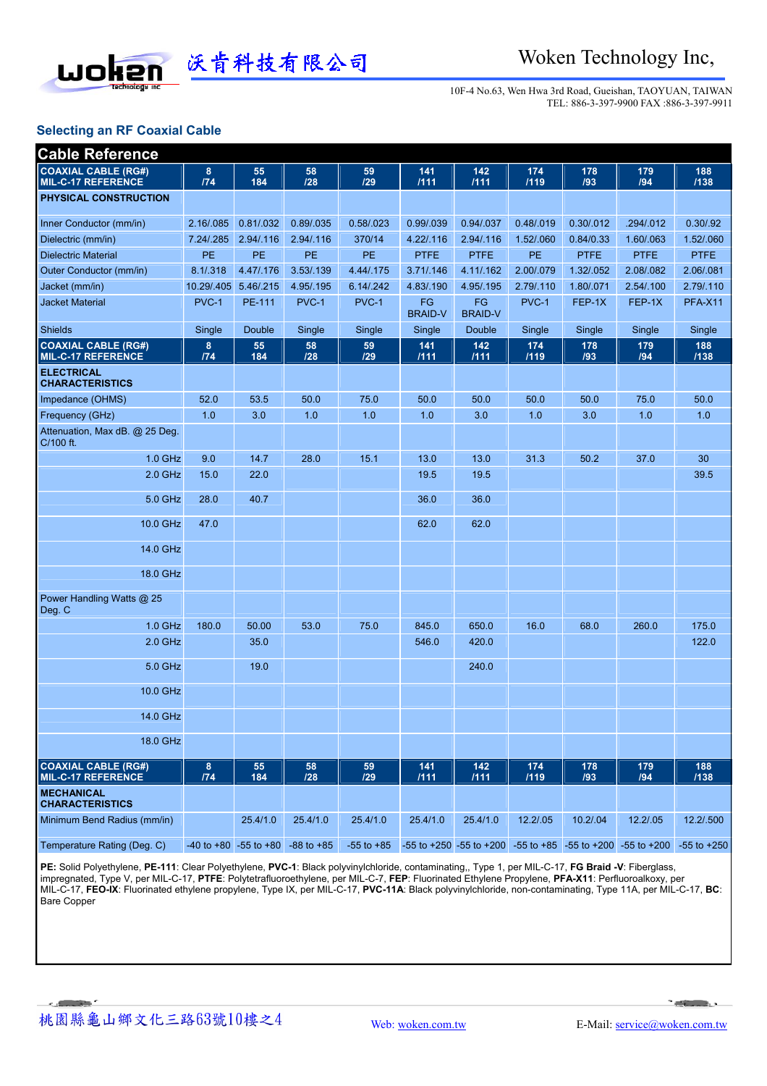

10F-4 No.63, Wen Hwa 3rd Road, Gueishan, TAOYUAN, TAIWAN TEL: 886-3-397-9900 FAX :886-3-397-9911

## **Selecting an RF Coaxial Cable**

| <b>Cable Reference</b>                                  |            |                               |                |                |                      |                      |             |             |                                                                                |                 |
|---------------------------------------------------------|------------|-------------------------------|----------------|----------------|----------------------|----------------------|-------------|-------------|--------------------------------------------------------------------------------|-----------------|
| <b>COAXIAL CABLE (RG#)</b><br><b>MIL-C-17 REFERENCE</b> | 8<br>174   | 55<br>184                     | 58<br>128      | 59<br>129      | 141<br>1111          | 142<br>1111          | 174<br>/119 | 178<br>/93  | 179<br>/94                                                                     | 188<br>/138     |
| <b>PHYSICAL CONSTRUCTION</b>                            |            |                               |                |                |                      |                      |             |             |                                                                                |                 |
| Inner Conductor (mm/in)                                 | 2.16/.085  | 0.81/032                      | 0.89/035       | 0.58/023       | 0.99/039             | 0.94/.037            | 0.48/.019   | 0.30/.012   | .294/.012                                                                      | 0.30/0.92       |
| Dielectric (mm/in)                                      | 7.24/.285  | 2.94/.116                     | 2.94/.116      | 370/14         | 4.22/.116            | 2.94/.116            | 1.52/.060   | 0.84/0.33   | 1.60/.063                                                                      | 1.52/.060       |
| <b>Dielectric Material</b>                              | PE         | PE                            | PE             | PE             | <b>PTFE</b>          | <b>PTFE</b>          | PE          | <b>PTFE</b> | <b>PTFE</b>                                                                    | <b>PTFE</b>     |
| Outer Conductor (mm/in)                                 | 8.1/.318   | 4.47/.176                     | 3.53/139       | 4.44/.175      | 3.71/0.146           | 4.11/.162            | 2.00/.079   | 1.32/.052   | 2.08/.082                                                                      | 2.06/.081       |
| Jacket (mm/in)                                          | 10.29/.405 | 5.46/.215                     | 4.95/.195      | 6.14/.242      | 4.83/.190            | 4.95/.195            | 2.79/.110   | 1.80/.071   | 2.54/.100                                                                      | 2.79/.110       |
| Jacket Material                                         | PVC-1      | PE-111                        | PVC-1          | PVC-1          | FG<br><b>BRAID-V</b> | FG<br><b>BRAID-V</b> | PVC-1       | FEP-1X      | FEP-1X                                                                         | <b>PFA-X11</b>  |
| <b>Shields</b>                                          | Single     | Double                        | Single         | Single         | Single               | Double               | Single      | Single      | Single                                                                         | Single          |
| <b>COAXIAL CABLE (RG#)</b><br><b>MIL-C-17 REFERENCE</b> | 8<br>174   | 55<br>184                     | 58<br>128      | 59<br>129      | 141<br>1111          | 142<br>1111          | 174<br>1119 | 178<br>/93  | 179<br>194                                                                     | 188<br>/138     |
| <b>ELECTRICAL</b><br><b>CHARACTERISTICS</b>             |            |                               |                |                |                      |                      |             |             |                                                                                |                 |
| Impedance (OHMS)                                        | 52.0       | 53.5                          | 50.0           | 75.0           | 50.0                 | 50.0                 | 50.0        | 50.0        | 75.0                                                                           | 50.0            |
| Frequency (GHz)                                         | 1.0        | 3.0                           | 1.0            | 1.0            | 1.0                  | 3.0                  | 1.0         | 3.0         | 1.0                                                                            | 1.0             |
| Attenuation, Max dB. @ 25 Deg.<br>C/100 ft.             |            |                               |                |                |                      |                      |             |             |                                                                                |                 |
| 1.0 GHz                                                 | 9.0        | 14.7                          | 28.0           | 15.1           | 13.0                 | 13.0                 | 31.3        | 50.2        | 37.0                                                                           | 30              |
| $2.0$ GHz                                               | 15.0       | 22.0                          |                |                | 19.5                 | 19.5                 |             |             |                                                                                | 39.5            |
| 5.0 GHz                                                 | 28.0       | 40.7                          |                |                | 36.0                 | 36.0                 |             |             |                                                                                |                 |
| 10.0 GHz                                                | 47.0       |                               |                |                | 62.0                 | 62.0                 |             |             |                                                                                |                 |
| 14.0 GHz                                                |            |                               |                |                |                      |                      |             |             |                                                                                |                 |
| 18.0 GHz                                                |            |                               |                |                |                      |                      |             |             |                                                                                |                 |
| Power Handling Watts @ 25<br>Deg. C                     |            |                               |                |                |                      |                      |             |             |                                                                                |                 |
| 1.0 GHz                                                 | 180.0      | 50.00                         | 53.0           | 75.0           | 845.0                | 650.0                | 16.0        | 68.0        | 260.0                                                                          | 175.0           |
| $2.0$ GHz                                               |            | 35.0                          |                |                | 546.0                | 420.0                |             |             |                                                                                | 122.0           |
| 5.0 GHz                                                 |            | 19.0                          |                |                |                      | 240.0                |             |             |                                                                                |                 |
| 10.0 GHz                                                |            |                               |                |                |                      |                      |             |             |                                                                                |                 |
| 14.0 GHz                                                |            |                               |                |                |                      |                      |             |             |                                                                                |                 |
| 18.0 GHz                                                |            |                               |                |                |                      |                      |             |             |                                                                                |                 |
| <b>COAXIAL CABLE (RG#)</b><br><b>MIL-C-17 REFERENCE</b> | 8<br>174   | 55<br>184                     | 58<br>128      | 59<br>129      | 141<br>1111          | 142<br>1111          | 174<br>1119 | 178<br>193  | 179<br>194                                                                     | 188<br>/138     |
| <b>MECHANICAL</b><br><b>CHARACTERISTICS</b>             |            |                               |                |                |                      |                      |             |             |                                                                                |                 |
| Minimum Bend Radius (mm/in)                             |            | 25.4/1.0                      | 25.4/1.0       | 25.4/1.0       | 25.4/1.0             | 25.4/1.0             | 12.2/.05    | 10.2/.04    | 12.2/.05                                                                       | 12.2/.500       |
| Temperature Rating (Deg. C)                             |            | $-40$ to $+80$ $-55$ to $+80$ | $-88$ to $+85$ | $-55$ to $+85$ |                      |                      |             |             | $-55$ to $+250$ $-55$ to $+200$ $-55$ to $+85$ $-55$ to $+200$ $-55$ to $+200$ | $-55$ to $+250$ |

**PE:** Solid Polyethylene, **PE-111**: Clear Polyethylene, **PVC-1**: Black polyvinylchloride, contaminating,, Type 1, per MIL-C-17, **FG Braid -V**: Fiberglass, impregnated, Type V, per MIL-C-17, **PTFE**: Polytetrafluoroethylene, per MIL-C-7, **FEP**: Fluorinated Ethylene Propylene, **PFA-X11**: Perfluoroalkoxy, per MIL-C-17, **FEO-IX**: Fluorinated ethylene propylene, Type IX, per MIL-C-17, **PVC-11A**: Black polyvinylchloride, non-contaminating, Type 11A, per MIL-C-17, **BC**: Bare Copper